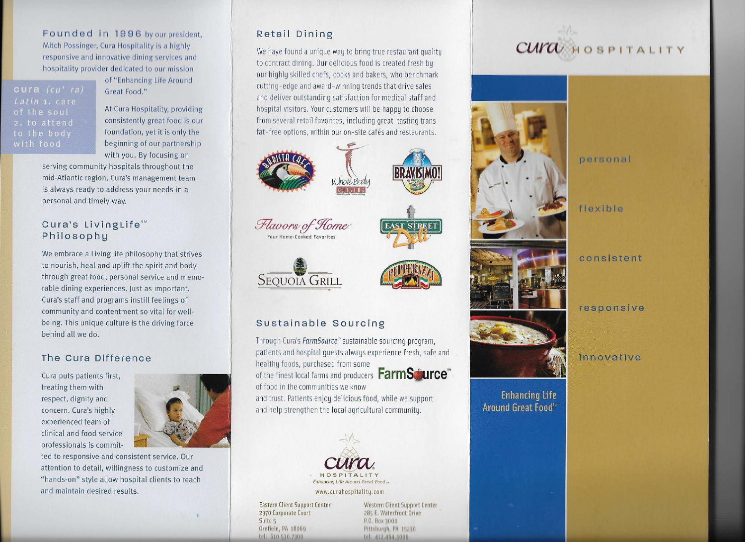Founded in 1996 by our president, Mitch Possinger, Cura Hospitality is a highly responsive and innovative dining services and hospitality provider dedicated to our mission

Latin 1. care of the soul 2. to attend to the body

of "Enhancing Life Around Great Food."

At Cura Hospitality, providing consistently great food is our foundation, yet it is only the beginning of our partnership with you. By focusing on

serving community hospitals throughout the mid-Atlantic region, Cura's management team is always ready to address your needs in a personal and timely way.

## Cura's LivingLife<sup>sM</sup> Philosophy

We embrace a LivingLife philosophy that strives to nourish, heal and uplift the spirit and body through great food, personal service and memorable dining experiences. Just as important, Cura's staff and programs instill feelings of community and contentment so vital for wellbeing. This unique culture is the driving force behind all we do.

## The Cura Difference

Cura puts patients first, treating them with respect, dignity and concern. Cura's highly experienced team of clinical and food service professionals is commit-



ted to responsive and consistent service. Our attention to detail, willingness to customize and "hands-on" style allow hospital clients to reach and maintain desired results.

## Retail Dining

We have found a unique way to bring true restaurant quality to contract dining. Our delicious food is created fresh by our highly skilled chefs, cooks and bakers, who benchmark cutting-edge and award-winning trends that drive sales and deliver outstanding satisfaction for medical staff and hospital visitors. Your customers will be happy to choose from several retail favorites, including great-tasting trans fat-free options, within our on-site cafés and restaurants.











BRAVISIMU!

## Sustainable Sourcing

Through Cura's *FarmSource*<sup>58</sup> sustainable sourcing program. patients and hospital quests always experience fresh, safe and healthy foods, purchased from some

of food in the communities we know

of the finest local farms and producers **FarmSturce** 

and trust. Patients enjoy delicious food, while we support and help strengthen the local agricultural community.



www.curahospitality.com

**Eastern Client Support Center** 2970 Corporate Court Suite 5 Orefield, PA 18069 tel: 610.510.7100

Western Client Support Center 285 E. Waterfront Drive P.O. Box 3000 Pittsburgh, PA 15210 tel: 412.464.1000

## CUITA HOSPITALITY





**Enhancing Life** Around Great Food<sup>50</sup> personal

flexible

consistent

responsive

innovative